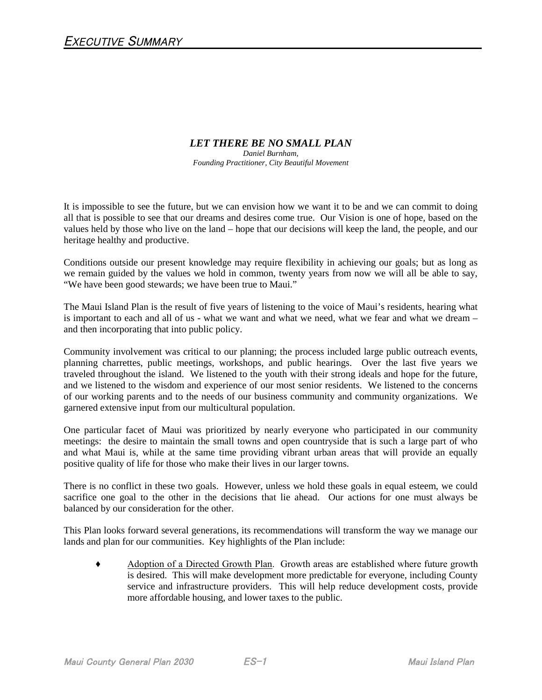## *LET THERE BE NO SMALL PLAN*

*Daniel Burnham, Founding Practitioner, City Beautiful Movement*

It is impossible to see the future, but we can envision how we want it to be and we can commit to doing all that is possible to see that our dreams and desires come true. Our Vision is one of hope, based on the values held by those who live on the land – hope that our decisions will keep the land, the people, and our heritage healthy and productive.

Conditions outside our present knowledge may require flexibility in achieving our goals; but as long as we remain guided by the values we hold in common, twenty years from now we will all be able to say, "We have been good stewards; we have been true to Maui."

The Maui Island Plan is the result of five years of listening to the voice of Maui's residents, hearing what is important to each and all of us - what we want and what we need, what we fear and what we dream – and then incorporating that into public policy.

Community involvement was critical to our planning; the process included large public outreach events, planning charrettes, public meetings, workshops, and public hearings. Over the last five years we traveled throughout the island. We listened to the youth with their strong ideals and hope for the future, and we listened to the wisdom and experience of our most senior residents. We listened to the concerns of our working parents and to the needs of our business community and community organizations. We garnered extensive input from our multicultural population.

One particular facet of Maui was prioritized by nearly everyone who participated in our community meetings: the desire to maintain the small towns and open countryside that is such a large part of who and what Maui is, while at the same time providing vibrant urban areas that will provide an equally positive quality of life for those who make their lives in our larger towns.

There is no conflict in these two goals. However, unless we hold these goals in equal esteem, we could sacrifice one goal to the other in the decisions that lie ahead. Our actions for one must always be balanced by our consideration for the other.

This Plan looks forward several generations, its recommendations will transform the way we manage our lands and plan for our communities. Key highlights of the Plan include:

♦ Adoption of a Directed Growth Plan. Growth areas are established where future growth is desired. This will make development more predictable for everyone, including County service and infrastructure providers. This will help reduce development costs, provide more affordable housing, and lower taxes to the public.